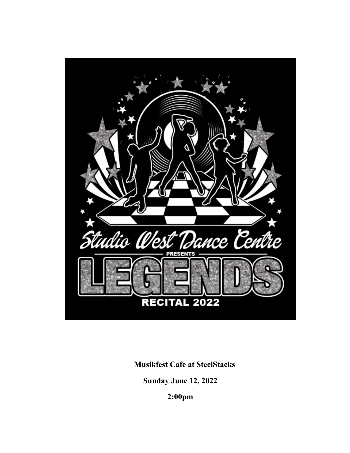

**Musikfest Cafe at SteelStacks**

**Sunday June 12, 2022**

**2:00pm**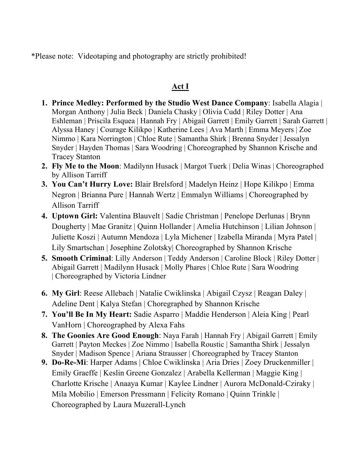\*Please note: Videotaping and photography are strictly prohibited!

# **Act I**

- **1. Prince Medley: Performed by the Studio West Dance Company**: Isabella Alagia | Morgan Anthony | Julia Beck | Daniela Chasky | Olivia Cudd | Riley Dotter | Ana Eshleman | Priscila Esquea | Hannah Fry | Abigail Garrett | Emily Garrett | Sarah Garrett | Alyssa Haney | Courage Kilikpo | Katherine Lees | Ava Marth | Emma Meyers | Zoe Nimmo | Kara Norrington | Chloe Rute | Samantha Shirk | Brenna Snyder | Jessalyn Snyder | Hayden Thomas | Sara Woodring | Choreographed by Shannon Krische and Tracey Stanton
- **2. Fly Me to the Moon**: Madilynn Husack | Margot Tuerk | Delia Winas | Choreographed by Allison Tarriff
- **3. You Can't Hurry Love:** Blair Brelsford | Madelyn Heinz | Hope Kilikpo | Emma Negron | Brianna Pure | Hannah Wertz | Emmalyn Williams | Choreographed by Allison Tarriff
- **4. Uptown Girl:** Valentina Blauvelt | Sadie Christman | Penelope Derlunas | Brynn Dougherty | Mae Granitz | Quinn Hollander | Amelia Hutchinson | Lilian Johnson | Juliette Koszi | Autumn Mendoza | Lyla Michener | Izabella Miranda | Myra Patel | Lily Smartschan | Josephine Zolotsky| Choreographed by Shannon Krische
- **5. Smooth Criminal**: Lilly Anderson | Teddy Anderson | Caroline Block | Riley Dotter | Abigail Garrett | Madilynn Husack | Molly Phares | Chloe Rute | Sara Woodring | Choreographed by Victoria Lindner
- **6. My Girl**: Reese Allebach | Natalie Cwiklinska | Abigail Czysz | Reagan Daley | Adeline Dent | Kalya Stefan | Choregraphed by Shannon Krische
- **7. You'll Be In My Heart:** Sadie Asparro | Maddie Henderson | Aleia King | Pearl VanHorn | Choreographed by Alexa Fahs
- **8. The Goonies Are Good Enough**: Naya Farah | Hannah Fry | Abigail Garrett | Emily Garrett | Payton Meckes | Zoe Nimmo | Isabella Roustic | Samantha Shirk | Jessalyn Snyder | Madison Spence | Ariana Strausser | Choreographed by Tracey Stanton
- **9. Do-Re-Mi**: Harper Adams | Chloe Cwiklinska | Aria Dries | Zoey Druckenmiller | Emily Graeffe | Keslin Greene Gonzalez | Arabella Kellerman | Maggie King | Charlotte Krische | Anaaya Kumar | Kaylee Lindner | Aurora McDonald-Cziraky | Mila Mobilio | Emerson Pressmann | Felicity Romano | Quinn Trinkle | Choreographed by Laura Muzerall-Lynch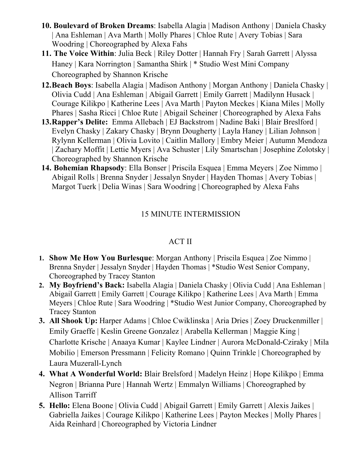- **10. Boulevard of Broken Dreams**: Isabella Alagia | Madison Anthony | Daniela Chasky | Ana Eshleman | Ava Marth | Molly Phares | Chloe Rute | Avery Tobias | Sara Woodring | Choreographed by Alexa Fahs
- **11. The Voice Within**: Julia Beck | Riley Dotter | Hannah Fry | Sarah Garrett | Alyssa Haney | Kara Norrington | Samantha Shirk | \* Studio West Mini Company Choreographed by Shannon Krische
- **12.Beach Boys**: Isabella Alagia | Madison Anthony | Morgan Anthony | Daniela Chasky | Olivia Cudd | Ana Eshleman | Abigail Garrett | Emily Garrett | Madilynn Husack | Courage Kilikpo | Katherine Lees | Ava Marth | Payton Meckes | Kiana Miles | Molly Phares | Sasha Ricci | Chloe Rute | Abigail Scheiner | Choreographed by Alexa Fahs
- **13.Rapper's Delite:** Emma Allebach | EJ Backstrom | Nadine Baki | Blair Breslford | Evelyn Chasky | Zakary Chasky | Brynn Dougherty | Layla Haney | Lilian Johnson | Rylynn Kellerman | Olivia Lovito | Caitlin Mallory | Embry Meier | Autumn Mendoza | Zachary Moffit | Lettie Myers | Ava Schuster | Lily Smartschan | Josephine Zolotsky | Choreographed by Shannon Krische
- **14. Bohemian Rhapsody**: Ella Bonser | Priscila Esquea | Emma Meyers | Zoe Nimmo | Abigail Rolls | Brenna Snyder | Jessalyn Snyder | Hayden Thomas | Avery Tobias | Margot Tuerk | Delia Winas | Sara Woodring | Choreographed by Alexa Fahs

## 15 MINUTE INTERMISSION

## ACT II

- **1. Show Me How You Burlesque**: Morgan Anthony | Priscila Esquea | Zoe Nimmo | Brenna Snyder | Jessalyn Snyder | Hayden Thomas | \*Studio West Senior Company, Choreographed by Tracey Stanton
- **2. My Boyfriend's Back:** Isabella Alagia | Daniela Chasky | Olivia Cudd | Ana Eshleman | Abigail Garrett | Emily Garrett | Courage Kilikpo | Katherine Lees | Ava Marth | Emma Meyers | Chloe Rute | Sara Woodring | \*Studio West Junior Company, Choreographed by Tracey Stanton
- **3. All Shook Up:** Harper Adams | Chloe Cwiklinska | Aria Dries | Zoey Druckenmiller | Emily Graeffe | Keslin Greene Gonzalez | Arabella Kellerman | Maggie King | Charlotte Krische | Anaaya Kumar | Kaylee Lindner | Aurora McDonald-Cziraky | Mila Mobilio | Emerson Pressmann | Felicity Romano | Quinn Trinkle | Choreographed by Laura Muzerall-Lynch
- **4. What A Wonderful World:** Blair Brelsford | Madelyn Heinz | Hope Kilikpo | Emma Negron | Brianna Pure | Hannah Wertz | Emmalyn Williams | Choreographed by Allison Tarriff
- **5. Hello:** Elena Boone | Olivia Cudd | Abigail Garrett | Emily Garrett | Alexis Jaikes | Gabriella Jaikes | Courage Kilikpo | Katherine Lees | Payton Meckes | Molly Phares | Aida Reinhard | Choreographed by Victoria Lindner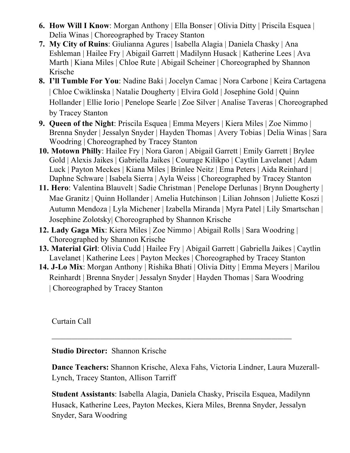- **6. How Will I Know**: Morgan Anthony | Ella Bonser | Olivia Ditty | Priscila Esquea | Delia Winas | Choreographed by Tracey Stanton
- **7. My City of Ruins**: Giulianna Agures | Isabella Alagia | Daniela Chasky | Ana Eshleman | Hailee Fry | Abigail Garrett | Madilynn Husack | Katherine Lees | Ava Marth | Kiana Miles | Chloe Rute | Abigail Scheiner | Choreographed by Shannon Krische
- **8. I'll Tumble For You**: Nadine Baki | Jocelyn Camac | Nora Carbone | Keira Cartagena | Chloe Cwiklinska | Natalie Dougherty | Elvira Gold | Josephine Gold | Quinn Hollander | Ellie Iorio | Penelope Searle | Zoe Silver | Analise Taveras | Choreographed by Tracey Stanton
- **9. Queen of the Night**: Priscila Esquea | Emma Meyers | Kiera Miles | Zoe Nimmo | Brenna Snyder | Jessalyn Snyder | Hayden Thomas | Avery Tobias | Delia Winas | Sara Woodring | Choreographed by Tracey Stanton
- **10. Motown Philly**: Hailee Fry | Nora Garon | Abigail Garrett | Emily Garrett | Brylee Gold | Alexis Jaikes | Gabriella Jaikes | Courage Kilikpo | Caytlin Lavelanet | Adam Luck | Payton Meckes | Kiana Miles | Brinlee Neitz | Ema Peters | Aida Reinhard | Daphne Schware | Isabela Sierra | Ayla Weiss | Choreographed by Tracey Stanton
- **11. Hero**: Valentina Blauvelt | Sadie Christman | Penelope Derlunas | Brynn Dougherty | Mae Granitz | Quinn Hollander | Amelia Hutchinson | Lilian Johnson | Juliette Koszi | Autumn Mendoza | Lyla Michener | Izabella Miranda | Myra Patel | Lily Smartschan | Josephine Zolotsky| Choreographed by Shannon Krische
- **12. Lady Gaga Mix**: Kiera Miles | Zoe Nimmo | Abigail Rolls | Sara Woodring | Choreographed by Shannon Krische
- **13. Material Girl**: Olivia Cudd | Hailee Fry | Abigail Garrett | Gabriella Jaikes | Caytlin Lavelanet | Katherine Lees | Payton Meckes | Choreographed by Tracey Stanton
- **14. J-Lo Mix**: Morgan Anthony | Rishika Bhati | Olivia Ditty | Emma Meyers | Marilou Reinhardt | Brenna Snyder | Jessalyn Snyder | Hayden Thomas | Sara Woodring | Choreographed by Tracey Stanton

 $\mathcal{L}_\mathcal{L}$ 

Curtain Call

**Studio Director:** Shannon Krische

**Dance Teachers:** Shannon Krische, Alexa Fahs, Victoria Lindner, Laura Muzerall-Lynch, Tracey Stanton, Allison Tarriff

**Student Assistants**: Isabella Alagia, Daniela Chasky, Priscila Esquea, Madilynn Husack, Katherine Lees, Payton Meckes, Kiera Miles, Brenna Snyder, Jessalyn Snyder, Sara Woodring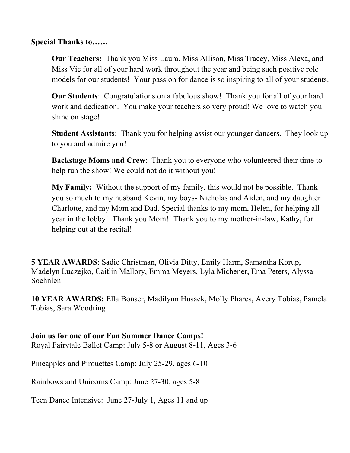**Special Thanks to……**

**Our Teachers:** Thank you Miss Laura, Miss Allison, Miss Tracey, Miss Alexa, and Miss Vic for all of your hard work throughout the year and being such positive role models for our students! Your passion for dance is so inspiring to all of your students.

**Our Students**: Congratulations on a fabulous show! Thank you for all of your hard work and dedication. You make your teachers so very proud! We love to watch you shine on stage!

**Student Assistants**: Thank you for helping assist our younger dancers. They look up to you and admire you!

**Backstage Moms and Crew**: Thank you to everyone who volunteered their time to help run the show! We could not do it without you!

**My Family:** Without the support of my family, this would not be possible. Thank you so much to my husband Kevin, my boys- Nicholas and Aiden, and my daughter Charlotte, and my Mom and Dad. Special thanks to my mom, Helen, for helping all year in the lobby! Thank you Mom!! Thank you to my mother-in-law, Kathy, for helping out at the recital!

**5 YEAR AWARDS**: Sadie Christman, Olivia Ditty, Emily Harm, Samantha Korup, Madelyn Luczejko, Caitlin Mallory, Emma Meyers, Lyla Michener, Ema Peters, Alyssa Soehnlen

**10 YEAR AWARDS:** Ella Bonser, Madilynn Husack, Molly Phares, Avery Tobias, Pamela Tobias, Sara Woodring

**Join us for one of our Fun Summer Dance Camps!** Royal Fairytale Ballet Camp: July 5-8 or August 8-11, Ages 3-6

Pineapples and Pirouettes Camp: July 25-29, ages 6-10

Rainbows and Unicorns Camp: June 27-30, ages 5-8

Teen Dance Intensive: June 27-July 1, Ages 11 and up